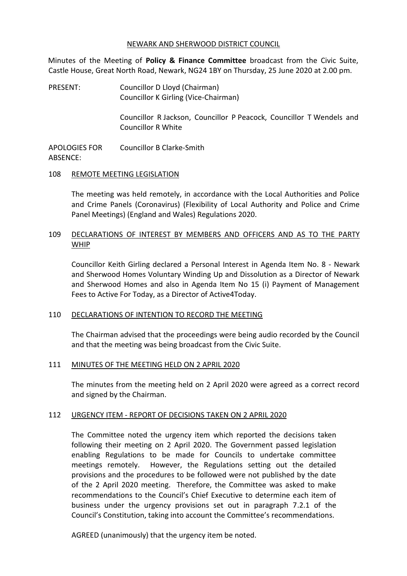#### NEWARK AND SHERWOOD DISTRICT COUNCIL

Minutes of the Meeting of **Policy & Finance Committee** broadcast from the Civic Suite, Castle House, Great North Road, Newark, NG24 1BY on Thursday, 25 June 2020 at 2.00 pm.

PRESENT: Councillor D Lloyd (Chairman) Councillor K Girling (Vice-Chairman)

> Councillor R Jackson, Councillor P Peacock, Councillor T Wendels and Councillor R White

APOLOGIES FOR ABSENCE: Councillor B Clarke-Smith

### 108 REMOTE MEETING LEGISLATION

The meeting was held remotely, in accordance with the Local Authorities and Police and Crime Panels (Coronavirus) (Flexibility of Local Authority and Police and Crime Panel Meetings) (England and Wales) Regulations 2020.

## 109 DECLARATIONS OF INTEREST BY MEMBERS AND OFFICERS AND AS TO THE PARTY WHIP

Councillor Keith Girling declared a Personal Interest in Agenda Item No. 8 - Newark and Sherwood Homes Voluntary Winding Up and Dissolution as a Director of Newark and Sherwood Homes and also in Agenda Item No 15 (i) Payment of Management Fees to Active For Today, as a Director of Active4Today.

### 110 DECLARATIONS OF INTENTION TO RECORD THE MEETING

The Chairman advised that the proceedings were being audio recorded by the Council and that the meeting was being broadcast from the Civic Suite.

### 111 MINUTES OF THE MEETING HELD ON 2 APRIL 2020

The minutes from the meeting held on 2 April 2020 were agreed as a correct record and signed by the Chairman.

#### 112 URGENCY ITEM - REPORT OF DECISIONS TAKEN ON 2 APRIL 2020

The Committee noted the urgency item which reported the decisions taken following their meeting on 2 April 2020. The Government passed legislation enabling Regulations to be made for Councils to undertake committee meetings remotely. However, the Regulations setting out the detailed provisions and the procedures to be followed were not published by the date of the 2 April 2020 meeting. Therefore, the Committee was asked to make recommendations to the Council's Chief Executive to determine each item of business under the urgency provisions set out in paragraph 7.2.1 of the Council's Constitution, taking into account the Committee's recommendations.

AGREED (unanimously) that the urgency item be noted.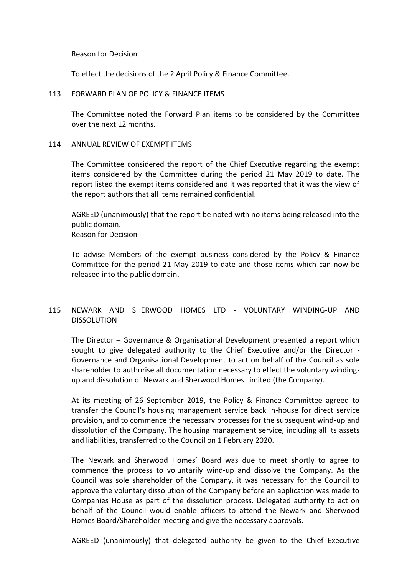#### Reason for Decision

To effect the decisions of the 2 April Policy & Finance Committee.

#### 113 FORWARD PLAN OF POLICY & FINANCE ITEMS

The Committee noted the Forward Plan items to be considered by the Committee over the next 12 months.

#### 114 ANNUAL REVIEW OF EXEMPT ITEMS

The Committee considered the report of the Chief Executive regarding the exempt items considered by the Committee during the period 21 May 2019 to date. The report listed the exempt items considered and it was reported that it was the view of the report authors that all items remained confidential.

AGREED (unanimously) that the report be noted with no items being released into the public domain.

### Reason for Decision

To advise Members of the exempt business considered by the Policy & Finance Committee for the period 21 May 2019 to date and those items which can now be released into the public domain.

# 115 NEWARK AND SHERWOOD HOMES LTD - VOLUNTARY WINDING-UP AND DISSOLUTION

The Director – Governance & Organisational Development presented a report which sought to give delegated authority to the Chief Executive and/or the Director - Governance and Organisational Development to act on behalf of the Council as sole shareholder to authorise all documentation necessary to effect the voluntary windingup and dissolution of Newark and Sherwood Homes Limited (the Company).

At its meeting of 26 September 2019, the Policy & Finance Committee agreed to transfer the Council's housing management service back in-house for direct service provision, and to commence the necessary processes for the subsequent wind-up and dissolution of the Company. The housing management service, including all its assets and liabilities, transferred to the Council on 1 February 2020.

The Newark and Sherwood Homes' Board was due to meet shortly to agree to commence the process to voluntarily wind-up and dissolve the Company. As the Council was sole shareholder of the Company, it was necessary for the Council to approve the voluntary dissolution of the Company before an application was made to Companies House as part of the dissolution process. Delegated authority to act on behalf of the Council would enable officers to attend the Newark and Sherwood Homes Board/Shareholder meeting and give the necessary approvals.

AGREED (unanimously) that delegated authority be given to the Chief Executive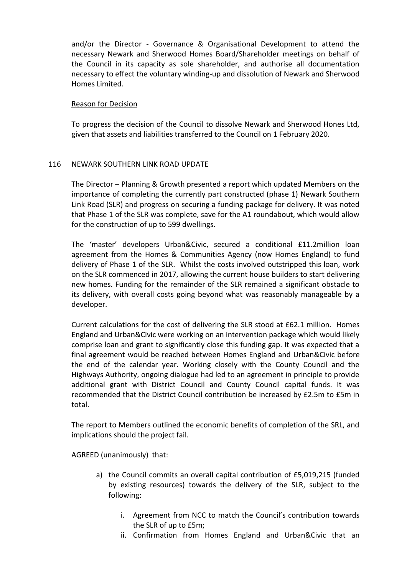and/or the Director - Governance & Organisational Development to attend the necessary Newark and Sherwood Homes Board/Shareholder meetings on behalf of the Council in its capacity as sole shareholder, and authorise all documentation necessary to effect the voluntary winding-up and dissolution of Newark and Sherwood Homes Limited.

### Reason for Decision

To progress the decision of the Council to dissolve Newark and Sherwood Hones Ltd, given that assets and liabilities transferred to the Council on 1 February 2020.

# 116 NEWARK SOUTHERN LINK ROAD UPDATE

The Director – Planning & Growth presented a report which updated Members on the importance of completing the currently part constructed (phase 1) Newark Southern Link Road (SLR) and progress on securing a funding package for delivery. It was noted that Phase 1 of the SLR was complete, save for the A1 roundabout, which would allow for the construction of up to 599 dwellings.

The 'master' developers Urban&Civic, secured a conditional £11.2million loan agreement from the Homes & Communities Agency (now Homes England) to fund delivery of Phase 1 of the SLR. Whilst the costs involved outstripped this loan, work on the SLR commenced in 2017, allowing the current house builders to start delivering new homes. Funding for the remainder of the SLR remained a significant obstacle to its delivery, with overall costs going beyond what was reasonably manageable by a developer.

Current calculations for the cost of delivering the SLR stood at £62.1 million. Homes England and Urban&Civic were working on an intervention package which would likely comprise loan and grant to significantly close this funding gap. It was expected that a final agreement would be reached between Homes England and Urban&Civic before the end of the calendar year. Working closely with the County Council and the Highways Authority, ongoing dialogue had led to an agreement in principle to provide additional grant with District Council and County Council capital funds. It was recommended that the District Council contribution be increased by £2.5m to £5m in total.

The report to Members outlined the economic benefits of completion of the SRL, and implications should the project fail.

AGREED (unanimously) that:

- a) the Council commits an overall capital contribution of £5,019,215 (funded by existing resources) towards the delivery of the SLR, subject to the following:
	- i. Agreement from NCC to match the Council's contribution towards the SLR of up to £5m;
	- ii. Confirmation from Homes England and Urban&Civic that an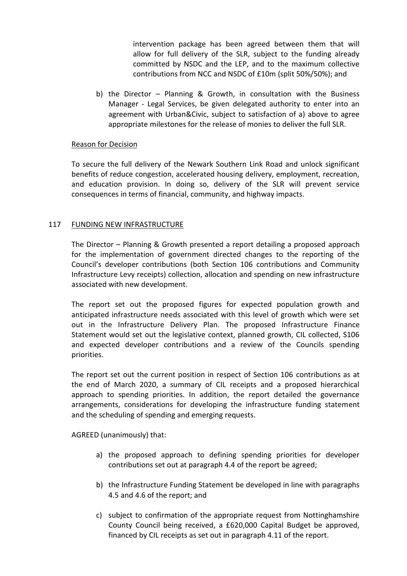intervention package has been agreed between them that will allow for full delivery of the SLR, subject to the funding already committed by NSDC and the LEP, and to the maximum collective contributions from NCC and NSDC of £10m (split 50%/50%); and

b) the Director – Planning & Growth, in consultation with the Business Manager - Legal Services, be given delegated authority to enter into an agreement with Urban&Civic, subject to satisfaction of a) above to agree appropriate milestones for the release of monies to deliver the full SLR.

### Reason for Decision

To secure the full delivery of the Newark Southern Link Road and unlock significant benefits of reduce congestion, accelerated housing delivery, employment, recreation, and education provision. In doing so, delivery of the SLR will prevent service consequences in terms of financial, community, and highway impacts.

# 117 FUNDING NEW INFRASTRUCTURE

The Director – Planning & Growth presented a report detailing a proposed approach for the implementation of government directed changes to the reporting of the Council's developer contributions (both Section 106 contributions and Community Infrastructure Levy receipts) collection, allocation and spending on new infrastructure associated with new development.

The report set out the proposed figures for expected population growth and anticipated infrastructure needs associated with this level of growth which were set out in the Infrastructure Delivery Plan. The proposed Infrastructure Finance Statement would set out the legislative context, planned growth, CIL collected, S106 and expected developer contributions and a review of the Councils spending priorities.

The report set out the current position in respect of Section 106 contributions as at the end of March 2020, a summary of CIL receipts and a proposed hierarchical approach to spending priorities. In addition, the report detailed the governance arrangements, considerations for developing the infrastructure funding statement and the scheduling of spending and emerging requests.

AGREED (unanimously) that:

- a) the proposed approach to defining spending priorities for developer contributions set out at paragraph 4.4 of the report be agreed;
- b) the Infrastructure Funding Statement be developed in line with paragraphs 4.5 and 4.6 of the report; and
- c) subject to confirmation of the appropriate request from Nottinghamshire County Council being received, a £620,000 Capital Budget be approved, financed by CIL receipts as set out in paragraph 4.11 of the report.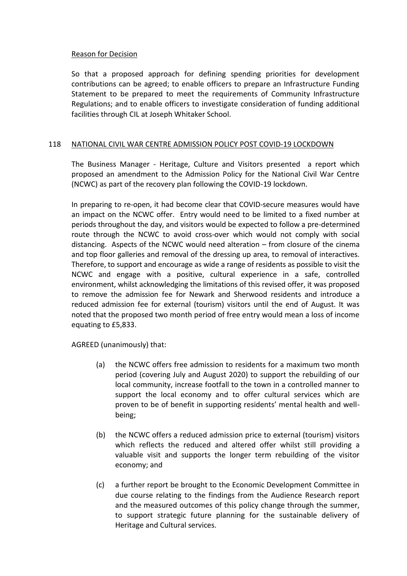### Reason for Decision

So that a proposed approach for defining spending priorities for development contributions can be agreed; to enable officers to prepare an Infrastructure Funding Statement to be prepared to meet the requirements of Community Infrastructure Regulations; and to enable officers to investigate consideration of funding additional facilities through CIL at Joseph Whitaker School.

### 118 NATIONAL CIVIL WAR CENTRE ADMISSION POLICY POST COVID-19 LOCKDOWN

The Business Manager - Heritage, Culture and Visitors presented a report which proposed an amendment to the Admission Policy for the National Civil War Centre (NCWC) as part of the recovery plan following the COVID-19 lockdown.

In preparing to re-open, it had become clear that COVID-secure measures would have an impact on the NCWC offer. Entry would need to be limited to a fixed number at periods throughout the day, and visitors would be expected to follow a pre-determined route through the NCWC to avoid cross-over which would not comply with social distancing. Aspects of the NCWC would need alteration – from closure of the cinema and top floor galleries and removal of the dressing up area, to removal of interactives. Therefore, to support and encourage as wide a range of residents as possible to visit the NCWC and engage with a positive, cultural experience in a safe, controlled environment, whilst acknowledging the limitations of this revised offer, it was proposed to remove the admission fee for Newark and Sherwood residents and introduce a reduced admission fee for external (tourism) visitors until the end of August. It was noted that the proposed two month period of free entry would mean a loss of income equating to £5,833.

AGREED (unanimously) that:

- (a) the NCWC offers free admission to residents for a maximum two month period (covering July and August 2020) to support the rebuilding of our local community, increase footfall to the town in a controlled manner to support the local economy and to offer cultural services which are proven to be of benefit in supporting residents' mental health and wellbeing;
- (b) the NCWC offers a reduced admission price to external (tourism) visitors which reflects the reduced and altered offer whilst still providing a valuable visit and supports the longer term rebuilding of the visitor economy; and
- (c) a further report be brought to the Economic Development Committee in due course relating to the findings from the Audience Research report and the measured outcomes of this policy change through the summer, to support strategic future planning for the sustainable delivery of Heritage and Cultural services.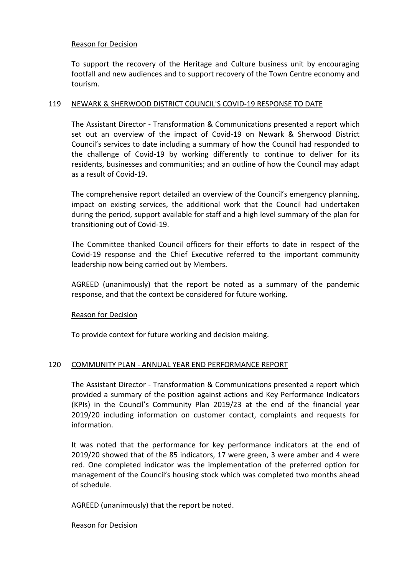### Reason for Decision

To support the recovery of the Heritage and Culture business unit by encouraging footfall and new audiences and to support recovery of the Town Centre economy and tourism.

### 119 NEWARK & SHERWOOD DISTRICT COUNCIL'S COVID-19 RESPONSE TO DATE

The Assistant Director - Transformation & Communications presented a report which set out an overview of the impact of Covid-19 on Newark & Sherwood District Council's services to date including a summary of how the Council had responded to the challenge of Covid-19 by working differently to continue to deliver for its residents, businesses and communities; and an outline of how the Council may adapt as a result of Covid-19.

The comprehensive report detailed an overview of the Council's emergency planning, impact on existing services, the additional work that the Council had undertaken during the period, support available for staff and a high level summary of the plan for transitioning out of Covid-19.

The Committee thanked Council officers for their efforts to date in respect of the Covid-19 response and the Chief Executive referred to the important community leadership now being carried out by Members.

AGREED (unanimously) that the report be noted as a summary of the pandemic response, and that the context be considered for future working.

# Reason for Decision

To provide context for future working and decision making.

### 120 COMMUNITY PLAN - ANNUAL YEAR END PERFORMANCE REPORT

The Assistant Director - Transformation & Communications presented a report which provided a summary of the position against actions and Key Performance Indicators (KPIs) in the Council's Community Plan 2019/23 at the end of the financial year 2019/20 including information on customer contact, complaints and requests for information.

It was noted that the performance for key performance indicators at the end of 2019/20 showed that of the 85 indicators, 17 were green, 3 were amber and 4 were red. One completed indicator was the implementation of the preferred option for management of the Council's housing stock which was completed two months ahead of schedule.

AGREED (unanimously) that the report be noted.

### Reason for Decision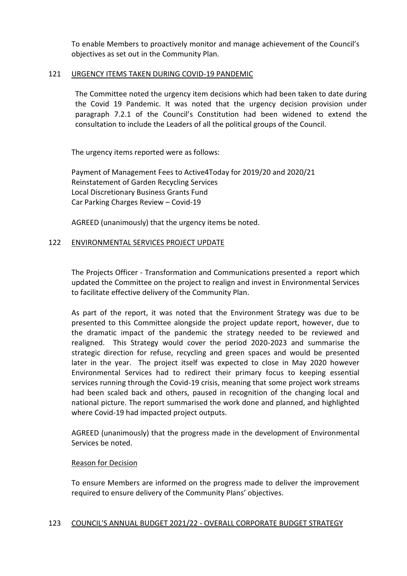To enable Members to proactively monitor and manage achievement of the Council's objectives as set out in the Community Plan.

### 121 URGENCY ITEMS TAKEN DURING COVID-19 PANDEMIC

The Committee noted the urgency item decisions which had been taken to date during the Covid 19 Pandemic. It was noted that the urgency decision provision under paragraph 7.2.1 of the Council's Constitution had been widened to extend the consultation to include the Leaders of all the political groups of the Council.

The urgency items reported were as follows:

Payment of Management Fees to Active4Today for 2019/20 and 2020/21 Reinstatement of Garden Recycling Services Local Discretionary Business Grants Fund Car Parking Charges Review – Covid-19

AGREED (unanimously) that the urgency items be noted.

### 122 ENVIRONMENTAL SERVICES PROJECT UPDATE

The Projects Officer - Transformation and Communications presented a report which updated the Committee on the project to realign and invest in Environmental Services to facilitate effective delivery of the Community Plan.

As part of the report, it was noted that the Environment Strategy was due to be presented to this Committee alongside the project update report, however, due to the dramatic impact of the pandemic the strategy needed to be reviewed and realigned. This Strategy would cover the period 2020-2023 and summarise the strategic direction for refuse, recycling and green spaces and would be presented later in the year. The project itself was expected to close in May 2020 however Environmental Services had to redirect their primary focus to keeping essential services running through the Covid-19 crisis, meaning that some project work streams had been scaled back and others, paused in recognition of the changing local and national picture. The report summarised the work done and planned, and highlighted where Covid-19 had impacted project outputs.

AGREED (unanimously) that the progress made in the development of Environmental Services be noted.

### Reason for Decision

To ensure Members are informed on the progress made to deliver the improvement required to ensure delivery of the Community Plans' objectives.

### 123 COUNCIL'S ANNUAL BUDGET 2021/22 - OVERALL CORPORATE BUDGET STRATEGY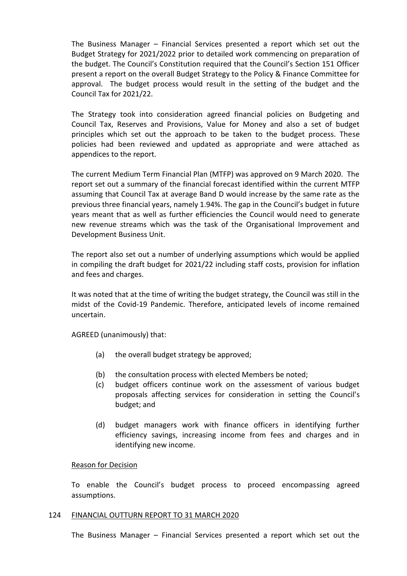The Business Manager – Financial Services presented a report which set out the Budget Strategy for 2021/2022 prior to detailed work commencing on preparation of the budget. The Council's Constitution required that the Council's Section 151 Officer present a report on the overall Budget Strategy to the Policy & Finance Committee for approval. The budget process would result in the setting of the budget and the Council Tax for 2021/22.

The Strategy took into consideration agreed financial policies on Budgeting and Council Tax, Reserves and Provisions, Value for Money and also a set of budget principles which set out the approach to be taken to the budget process. These policies had been reviewed and updated as appropriate and were attached as appendices to the report.

The current Medium Term Financial Plan (MTFP) was approved on 9 March 2020. The report set out a summary of the financial forecast identified within the current MTFP assuming that Council Tax at average Band D would increase by the same rate as the previous three financial years, namely 1.94%. The gap in the Council's budget in future years meant that as well as further efficiencies the Council would need to generate new revenue streams which was the task of the Organisational Improvement and Development Business Unit.

The report also set out a number of underlying assumptions which would be applied in compiling the draft budget for 2021/22 including staff costs, provision for inflation and fees and charges.

It was noted that at the time of writing the budget strategy, the Council was still in the midst of the Covid-19 Pandemic. Therefore, anticipated levels of income remained uncertain.

AGREED (unanimously) that:

- (a) the overall budget strategy be approved;
- (b) the consultation process with elected Members be noted;
- (c) budget officers continue work on the assessment of various budget proposals affecting services for consideration in setting the Council's budget; and
- (d) budget managers work with finance officers in identifying further efficiency savings, increasing income from fees and charges and in identifying new income.

### Reason for Decision

To enable the Council's budget process to proceed encompassing agreed assumptions.

#### 124 FINANCIAL OUTTURN REPORT TO 31 MARCH 2020

The Business Manager – Financial Services presented a report which set out the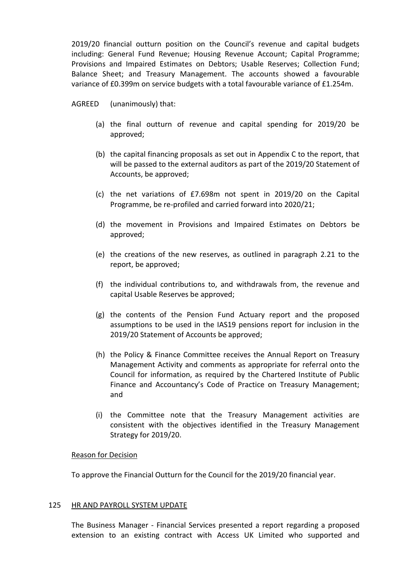2019/20 financial outturn position on the Council's revenue and capital budgets including: General Fund Revenue; Housing Revenue Account; Capital Programme; Provisions and Impaired Estimates on Debtors; Usable Reserves; Collection Fund; Balance Sheet; and Treasury Management. The accounts showed a favourable variance of £0.399m on service budgets with a total favourable variance of £1.254m.

AGREED (unanimously) that:

- (a) the final outturn of revenue and capital spending for 2019/20 be approved;
- (b) the capital financing proposals as set out in Appendix C to the report, that will be passed to the external auditors as part of the 2019/20 Statement of Accounts, be approved;
- (c) the net variations of £7.698m not spent in 2019/20 on the Capital Programme, be re-profiled and carried forward into 2020/21;
- (d) the movement in Provisions and Impaired Estimates on Debtors be approved;
- (e) the creations of the new reserves, as outlined in paragraph 2.21 to the report, be approved;
- (f) the individual contributions to, and withdrawals from, the revenue and capital Usable Reserves be approved;
- (g) the contents of the Pension Fund Actuary report and the proposed assumptions to be used in the IAS19 pensions report for inclusion in the 2019/20 Statement of Accounts be approved;
- (h) the Policy & Finance Committee receives the Annual Report on Treasury Management Activity and comments as appropriate for referral onto the Council for information, as required by the Chartered Institute of Public Finance and Accountancy's Code of Practice on Treasury Management; and
- (i) the Committee note that the Treasury Management activities are consistent with the objectives identified in the Treasury Management Strategy for 2019/20.

#### Reason for Decision

To approve the Financial Outturn for the Council for the 2019/20 financial year.

#### 125 HR AND PAYROLL SYSTEM UPDATE

The Business Manager - Financial Services presented a report regarding a proposed extension to an existing contract with Access UK Limited who supported and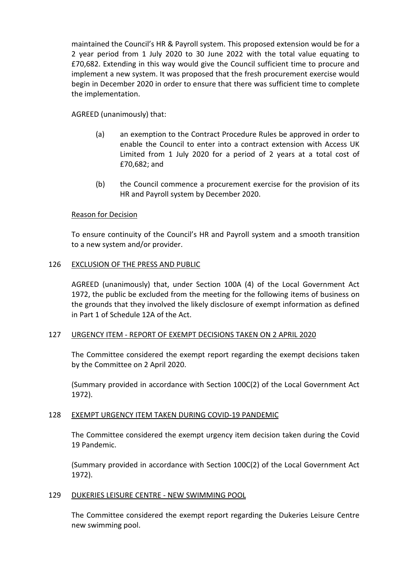maintained the Council's HR & Payroll system. This proposed extension would be for a 2 year period from 1 July 2020 to 30 June 2022 with the total value equating to £70,682. Extending in this way would give the Council sufficient time to procure and implement a new system. It was proposed that the fresh procurement exercise would begin in December 2020 in order to ensure that there was sufficient time to complete the implementation.

# AGREED (unanimously) that:

- (a) an exemption to the Contract Procedure Rules be approved in order to enable the Council to enter into a contract extension with Access UK Limited from 1 July 2020 for a period of 2 years at a total cost of £70,682; and
- (b) the Council commence a procurement exercise for the provision of its HR and Payroll system by December 2020.

# Reason for Decision

To ensure continuity of the Council's HR and Payroll system and a smooth transition to a new system and/or provider.

### 126 EXCLUSION OF THE PRESS AND PUBLIC

AGREED (unanimously) that, under Section 100A (4) of the Local Government Act 1972, the public be excluded from the meeting for the following items of business on the grounds that they involved the likely disclosure of exempt information as defined in Part 1 of Schedule 12A of the Act.

### 127 URGENCY ITEM - REPORT OF EXEMPT DECISIONS TAKEN ON 2 APRIL 2020

The Committee considered the exempt report regarding the exempt decisions taken by the Committee on 2 April 2020.

(Summary provided in accordance with Section 100C(2) of the Local Government Act 1972).

# 128 EXEMPT URGENCY ITEM TAKEN DURING COVID-19 PANDEMIC

The Committee considered the exempt urgency item decision taken during the Covid 19 Pandemic.

(Summary provided in accordance with Section 100C(2) of the Local Government Act 1972).

### 129 DUKERIES LEISURE CENTRE - NEW SWIMMING POOL

The Committee considered the exempt report regarding the Dukeries Leisure Centre new swimming pool.